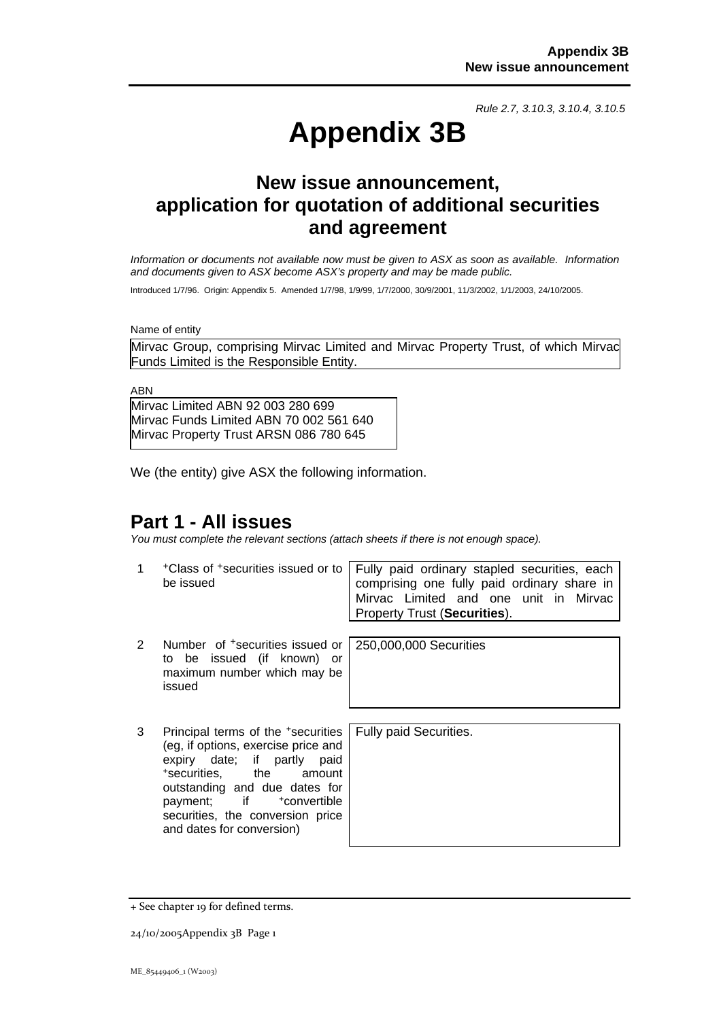*Rule 2.7, 3.10.3, 3.10.4, 3.10.5*

# **Appendix 3B**

# **New issue announcement, application for quotation of additional securities and agreement**

*Information or documents not available now must be given to ASX as soon as available. Information and documents given to ASX become ASX's property and may be made public.* 

Introduced 1/7/96. Origin: Appendix 5. Amended 1/7/98, 1/9/99, 1/7/2000, 30/9/2001, 11/3/2002, 1/1/2003, 24/10/2005.

Name of entity

Mirvac Group, comprising Mirvac Limited and Mirvac Property Trust, of which Mirvac Funds Limited is the Responsible Entity.

ABN

Mirvac Limited ABN 92 003 280 699 Mirvac Funds Limited ABN 70 002 561 640 Mirvac Property Trust ARSN 086 780 645

We (the entity) give ASX the following information.

## **Part 1 - All issues**

*You must complete the relevant sections (attach sheets if there is not enough space).*

1 +Class of +securities issued or to be issued Fully paid ordinary stapled securities, each comprising one fully paid ordinary share in Mirvac Limited and one unit in Mirvac Property Trust (**Securities**). 2 Number of +securities issued or to be issued (if known) or maximum number which may be issued 250,000,000 Securities 3 Principal terms of the +securities (eg, if options, exercise price and expiry date; if partly paid +securities, the amount outstanding and due dates for payment; if +convertible securities, the conversion price Fully paid Securities.

and dates for conversion)

<sup>+</sup> See chapter 19 for defined terms.

<sup>24/10/2005</sup>Appendix 3B Page 1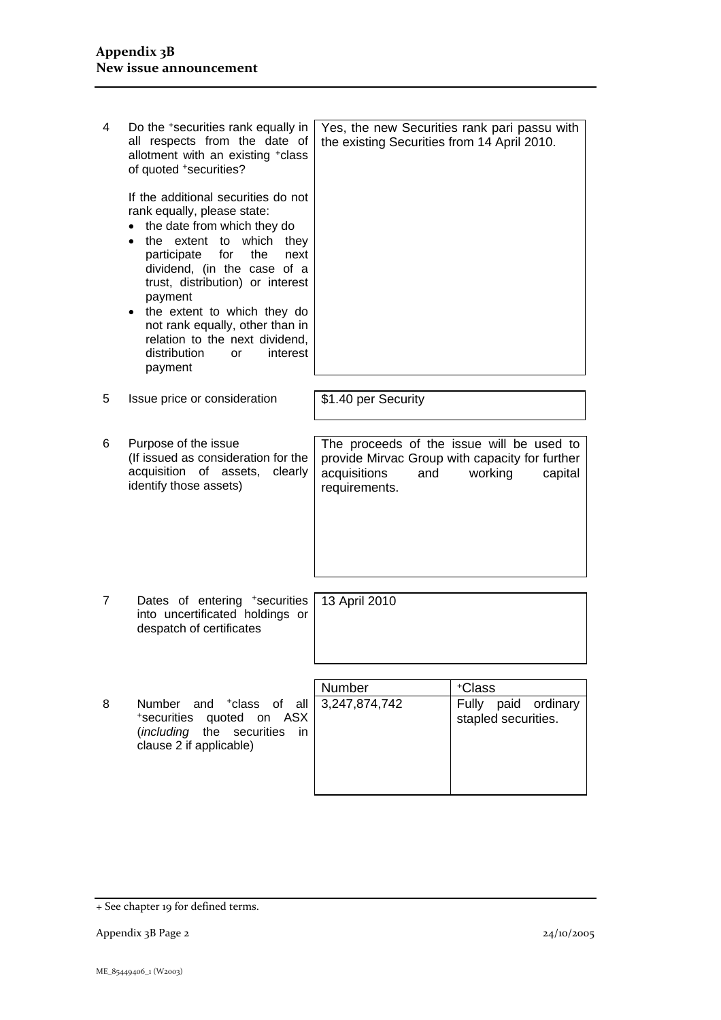| 4 | Do the *securities rank equally in<br>all respects from the date of<br>allotment with an existing +class<br>of quoted +securities?                                                                                                                                                                                                                                                                                          | Yes, the new Securities rank pari passu with<br>the existing Securities from 14 April 2010.                                                               |                                            |  |
|---|-----------------------------------------------------------------------------------------------------------------------------------------------------------------------------------------------------------------------------------------------------------------------------------------------------------------------------------------------------------------------------------------------------------------------------|-----------------------------------------------------------------------------------------------------------------------------------------------------------|--------------------------------------------|--|
|   | If the additional securities do not<br>rank equally, please state:<br>the date from which they do<br>the extent to which they<br>$\bullet$<br>participate<br>for<br>the<br>next<br>dividend, (in the case of a<br>trust, distribution) or interest<br>payment<br>the extent to which they do<br>$\bullet$<br>not rank equally, other than in<br>relation to the next dividend.<br>distribution<br>interest<br>or<br>payment |                                                                                                                                                           |                                            |  |
| 5 | Issue price or consideration                                                                                                                                                                                                                                                                                                                                                                                                | \$1.40 per Security                                                                                                                                       |                                            |  |
|   |                                                                                                                                                                                                                                                                                                                                                                                                                             |                                                                                                                                                           |                                            |  |
| 6 | Purpose of the issue<br>(If issued as consideration for the<br>acquisition of assets,<br>clearly<br>identify those assets)                                                                                                                                                                                                                                                                                                  | The proceeds of the issue will be used to<br>provide Mirvac Group with capacity for further<br>acquisitions<br>working<br>and<br>capital<br>requirements. |                                            |  |
|   |                                                                                                                                                                                                                                                                                                                                                                                                                             |                                                                                                                                                           |                                            |  |
| 7 | Dates of entering +securities<br>into uncertificated holdings or<br>despatch of certificates                                                                                                                                                                                                                                                                                                                                | 13 April 2010                                                                                                                                             |                                            |  |
|   |                                                                                                                                                                                                                                                                                                                                                                                                                             |                                                                                                                                                           |                                            |  |
|   |                                                                                                                                                                                                                                                                                                                                                                                                                             | Number                                                                                                                                                    | +Class                                     |  |
| 8 | Number and <sup>+</sup> class of all<br>*securities quoted on ASX<br><i>(including</i> the<br>securities<br>in.<br>clause 2 if applicable)                                                                                                                                                                                                                                                                                  | 3,247,874,742                                                                                                                                             | Fully paid ordinary<br>stapled securities. |  |
|   |                                                                                                                                                                                                                                                                                                                                                                                                                             |                                                                                                                                                           |                                            |  |

<sup>+</sup> See chapter 19 for defined terms.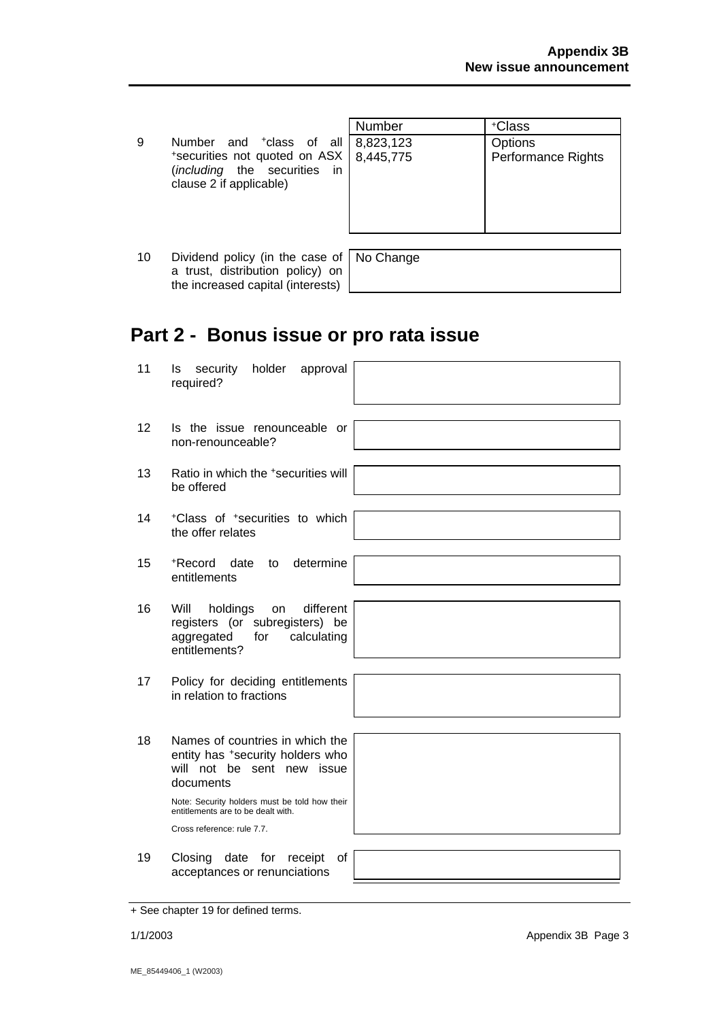|                                                                                                                                                                        | Number | +Class                               |
|------------------------------------------------------------------------------------------------------------------------------------------------------------------------|--------|--------------------------------------|
| 9<br>Number and <sup>+</sup> class of all 8,823,123<br>*securities not quoted on ASX   8.445.775<br>in<br>( <i>including</i> the securities<br>clause 2 if applicable) |        | Options<br><b>Performance Rights</b> |

10 Dividend policy (in the case of a trust, distribution policy) on the increased capital (interests)

No Change

# **Part 2 - Bonus issue or pro rata issue**

11 Is security holder approval required? 12 Is the issue renounceable or non-renounceable? 13 Ratio in which the +securities will be offered 14 +Class of +securities to which the offer relates 15 +Record date to determine entitlements 16 Will holdings on different registers (or subregisters) be aggregated for calculating entitlements? 17 Policy for deciding entitlements in relation to fractions 18 Names of countries in which the entity has +security holders who will not be sent new issue documents Note: Security holders must be told how their entitlements are to be dealt with. Cross reference: rule 7.7. 19 Closing date for receipt of acceptances or renunciations

<sup>+</sup> See chapter 19 for defined terms.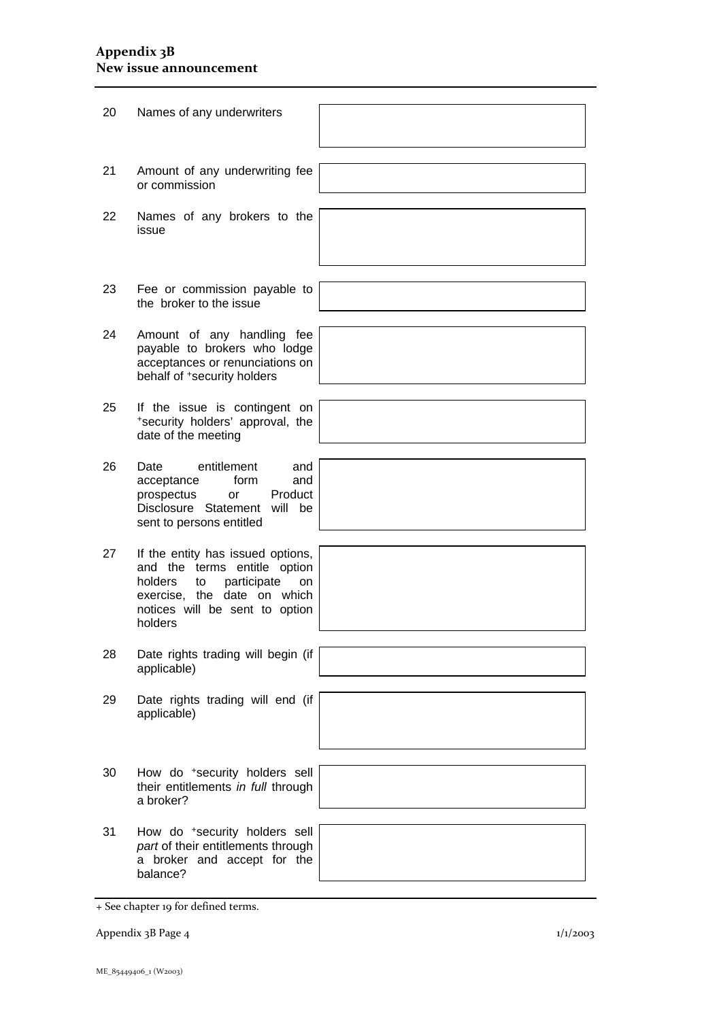### **Appendix 3B New issue announcement**

| 20 | Names of any underwriters                                                                                                                                                           |  |
|----|-------------------------------------------------------------------------------------------------------------------------------------------------------------------------------------|--|
| 21 | Amount of any underwriting fee<br>or commission                                                                                                                                     |  |
| 22 | Names of any brokers to the<br>issue                                                                                                                                                |  |
| 23 | Fee or commission payable to<br>the broker to the issue                                                                                                                             |  |
| 24 | Amount of any handling fee<br>payable to brokers who lodge<br>acceptances or renunciations on<br>behalf of <sup>+</sup> security holders                                            |  |
| 25 | If the issue is contingent on<br>*security holders' approval, the<br>date of the meeting                                                                                            |  |
| 26 | entitlement<br>Date<br>and<br>acceptance<br>form<br>and<br>Product<br>prospectus<br>or<br>Disclosure Statement will be<br>sent to persons entitled                                  |  |
| 27 | If the entity has issued options,<br>and the terms entitle option<br>holders<br>participate<br>to<br>on<br>exercise, the date on which<br>notices will be sent to option<br>holders |  |
| 28 | Date rights trading will begin (if<br>applicable)                                                                                                                                   |  |
| 29 | Date rights trading will end (if<br>applicable)                                                                                                                                     |  |
| 30 | How do *security holders sell<br>their entitlements in full through<br>a broker?                                                                                                    |  |
| 31 | How do *security holders sell<br>part of their entitlements through<br>a broker and accept for the<br>balance?                                                                      |  |

Appendix 3B Page 4 1/1/2003

<sup>+</sup> See chapter 19 for defined terms.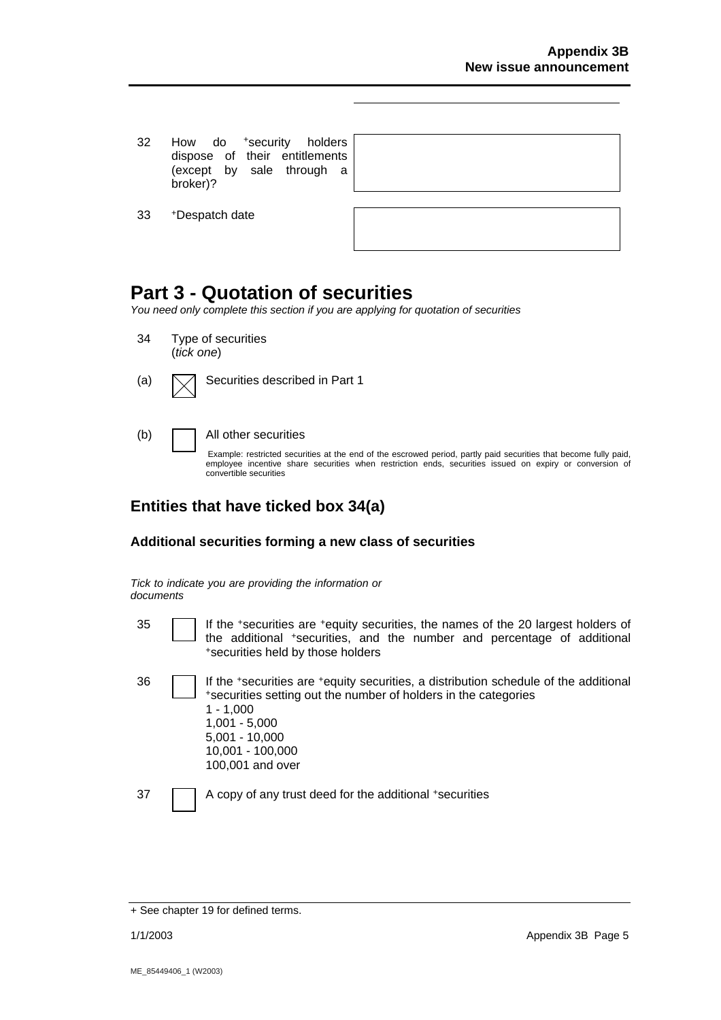- 32 How do <sup>+</sup>security holders dispose of their entitlements (except by sale through a broker)?
- 33 +Despatch date

# **Part 3 - Quotation of securities**

*You need only complete this section if you are applying for quotation of securities* 

- 34 Type of securities (*tick one*)
- (a)  $\Box$  Securities described in Part 1

#### (b) All other securities

Example: restricted securities at the end of the escrowed period, partly paid securities that become fully paid, employee incentive share securities when restriction ends, securities issued on expiry or conversion of convertible securities

### **Entities that have ticked box 34(a)**

### **Additional securities forming a new class of securities**

*Tick to indicate you are providing the information or documents*

- 
- 35 If the +securities are +equity securities, the names of the 20 largest holders of the additional +securities, and the number and percentage of additional +securities held by those holders
- 36 If the +securities are +equity securities, a distribution schedule of the additional +securities setting out the number of holders in the categories 1 - 1,000 1,001 - 5,000 5,001 - 10,000 10,001 - 100,000 100,001 and over

37 A copy of any trust deed for the additional +securities

<sup>+</sup> See chapter 19 for defined terms.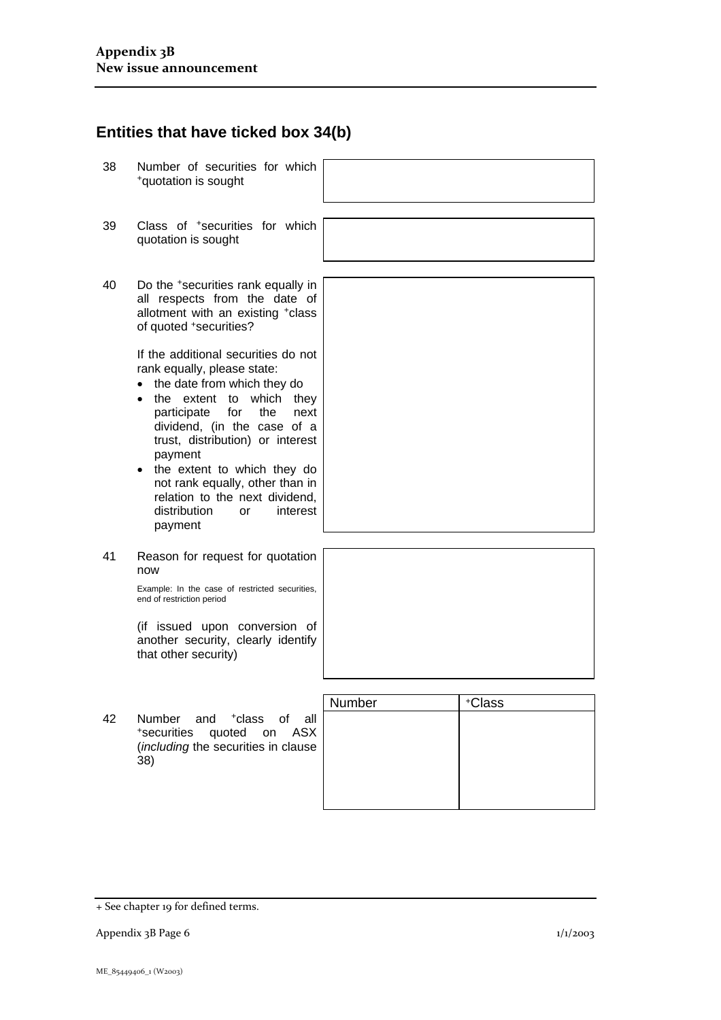### **Entities that have ticked box 34(b)**

- 38 Number of securities for which +quotation is sought
- 39 Class of +securities for which quotation is sought
- 40 Do the +securities rank equally in all respects from the date of allotment with an existing +class of quoted +securities?

If the additional securities do not rank equally, please state:

- the date from which they do
- the extent to which they participate for the next dividend, (in the case of a trust, distribution) or interest payment
- the extent to which they do not rank equally, other than in relation to the next dividend, distribution or interest payment
- 41 Reason for request for quotation now

Example: In the case of restricted securities, end of restriction period

(if issued upon conversion of another security, clearly identify that other security)

42 Number and +class of all +securities quoted on ASX (*including* the securities in clause 38)



<sup>+</sup> See chapter 19 for defined terms.